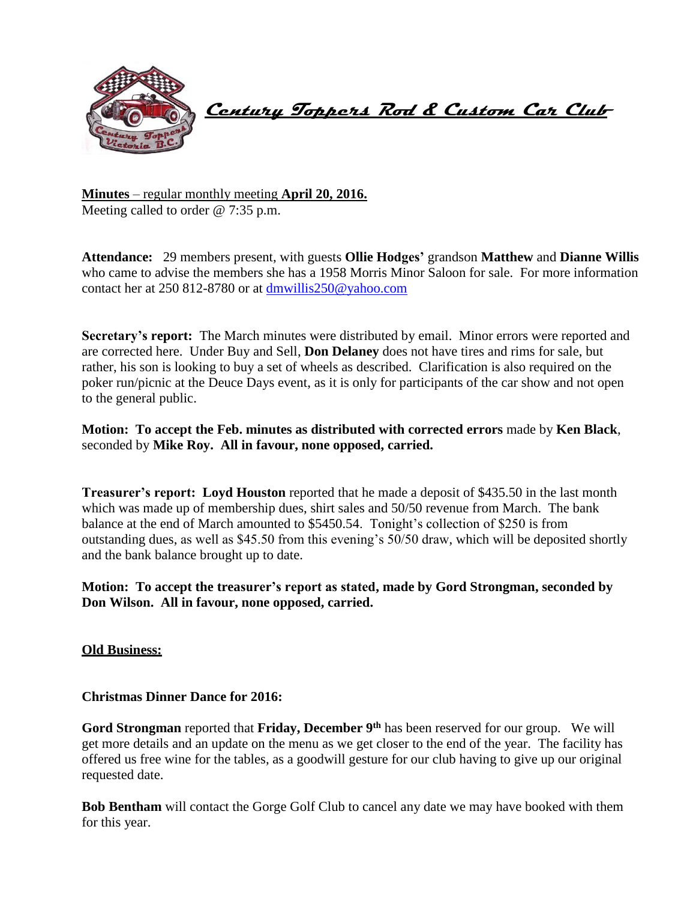

 **Century Toppers Rod & Custom Car Club** 

**Minutes** – regular monthly meeting **April 20, 2016.** Meeting called to order @ 7:35 p.m.

**Attendance:** 29 members present, with guests **Ollie Hodges'** grandson **Matthew** and **Dianne Willis** who came to advise the members she has a 1958 Morris Minor Saloon for sale. For more information contact her at 250 812-8780 or at [dmwillis250@yahoo.com](mailto:dmwillis250@yahoo.com)

**Secretary's report:** The March minutes were distributed by email. Minor errors were reported and are corrected here. Under Buy and Sell, **Don Delaney** does not have tires and rims for sale, but rather, his son is looking to buy a set of wheels as described. Clarification is also required on the poker run/picnic at the Deuce Days event, as it is only for participants of the car show and not open to the general public.

**Motion: To accept the Feb. minutes as distributed with corrected errors** made by **Ken Black**, seconded by **Mike Roy. All in favour, none opposed, carried.**

**Treasurer's report: Loyd Houston** reported that he made a deposit of \$435.50 in the last month which was made up of membership dues, shirt sales and 50/50 revenue from March. The bank balance at the end of March amounted to \$5450.54. Tonight's collection of \$250 is from outstanding dues, as well as \$45.50 from this evening's 50/50 draw, which will be deposited shortly and the bank balance brought up to date.

**Motion: To accept the treasurer's report as stated, made by Gord Strongman, seconded by Don Wilson. All in favour, none opposed, carried.**

**Old Business:**

**Christmas Dinner Dance for 2016:**

**Gord Strongman** reported that **Friday, December 9th** has been reserved for our group. We will get more details and an update on the menu as we get closer to the end of the year. The facility has offered us free wine for the tables, as a goodwill gesture for our club having to give up our original requested date.

**Bob Bentham** will contact the Gorge Golf Club to cancel any date we may have booked with them for this year.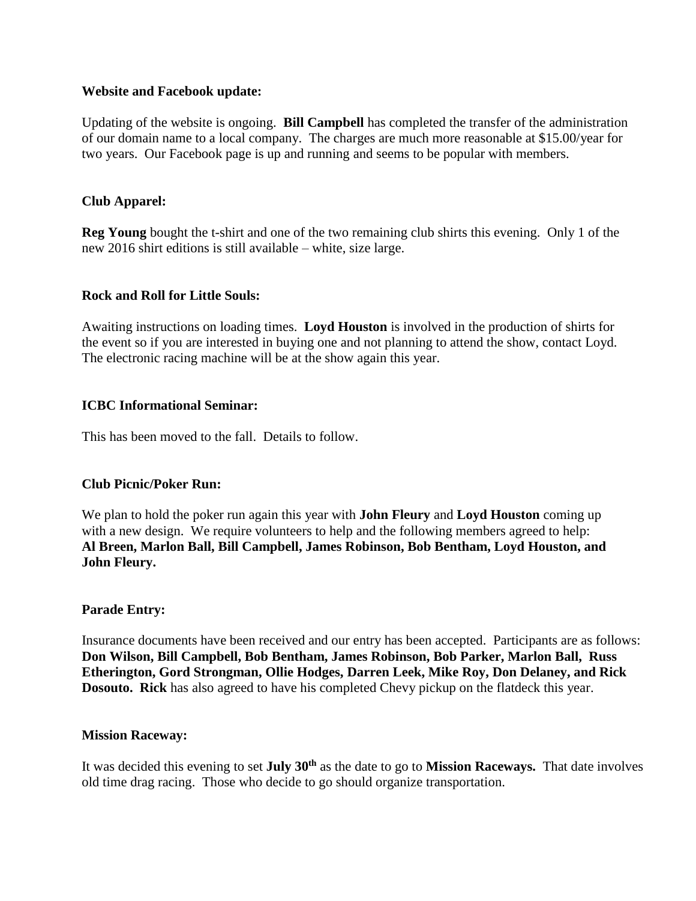## **Website and Facebook update:**

Updating of the website is ongoing. **Bill Campbell** has completed the transfer of the administration of our domain name to a local company. The charges are much more reasonable at \$15.00/year for two years. Our Facebook page is up and running and seems to be popular with members.

# **Club Apparel:**

**Reg Young** bought the t-shirt and one of the two remaining club shirts this evening. Only 1 of the new 2016 shirt editions is still available – white, size large.

## **Rock and Roll for Little Souls:**

Awaiting instructions on loading times. **Loyd Houston** is involved in the production of shirts for the event so if you are interested in buying one and not planning to attend the show, contact Loyd. The electronic racing machine will be at the show again this year.

# **ICBC Informational Seminar:**

This has been moved to the fall. Details to follow.

## **Club Picnic/Poker Run:**

We plan to hold the poker run again this year with **John Fleury** and **Loyd Houston** coming up with a new design. We require volunteers to help and the following members agreed to help: **Al Breen, Marlon Ball, Bill Campbell, James Robinson, Bob Bentham, Loyd Houston, and John Fleury.**

## **Parade Entry:**

Insurance documents have been received and our entry has been accepted. Participants are as follows: **Don Wilson, Bill Campbell, Bob Bentham, James Robinson, Bob Parker, Marlon Ball, Russ Etherington, Gord Strongman, Ollie Hodges, Darren Leek, Mike Roy, Don Delaney, and Rick Dosouto. Rick** has also agreed to have his completed Chevy pickup on the flatdeck this year.

## **Mission Raceway:**

It was decided this evening to set **July 30th** as the date to go to **Mission Raceways.** That date involves old time drag racing. Those who decide to go should organize transportation.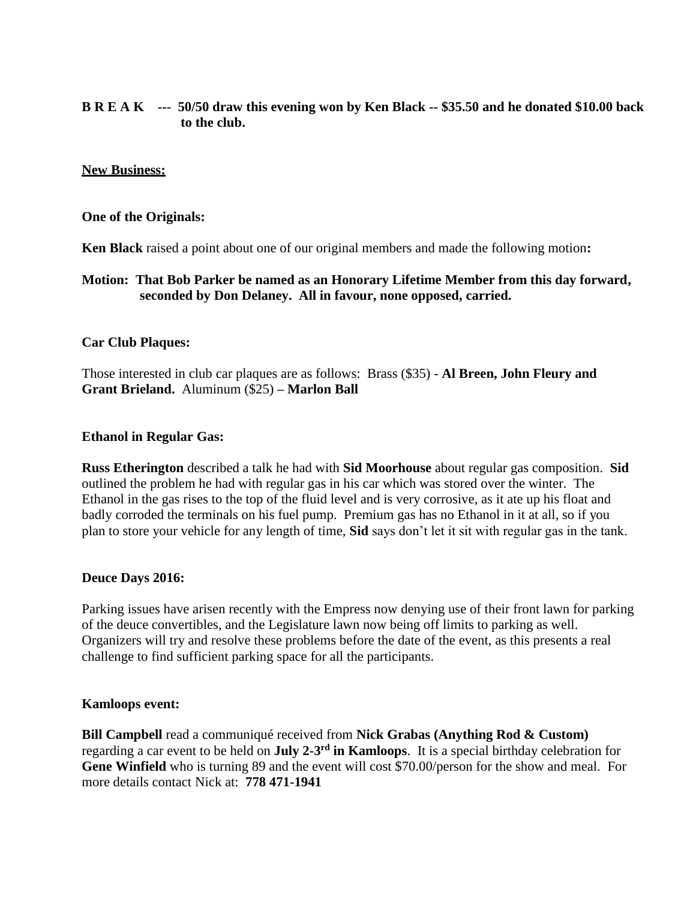# **B R E A K --- 50/50 draw this evening won by Ken Black -- \$35.50 and he donated \$10.00 back to the club.**

#### **New Business:**

#### **One of the Originals:**

**Ken Black** raised a point about one of our original members and made the following motion**:**

# **Motion: That Bob Parker be named as an Honorary Lifetime Member from this day forward, seconded by Don Delaney. All in favour, none opposed, carried.**

#### **Car Club Plaques:**

Those interested in club car plaques are as follows: Brass (\$35) - **Al Breen, John Fleury and Grant Brieland.** Aluminum (\$25) **– Marlon Ball** 

#### **Ethanol in Regular Gas:**

**Russ Etherington** described a talk he had with **Sid Moorhouse** about regular gas composition. **Sid** outlined the problem he had with regular gas in his car which was stored over the winter. The Ethanol in the gas rises to the top of the fluid level and is very corrosive, as it ate up his float and badly corroded the terminals on his fuel pump. Premium gas has no Ethanol in it at all, so if you plan to store your vehicle for any length of time, **Sid** says don't let it sit with regular gas in the tank.

#### **Deuce Days 2016:**

Parking issues have arisen recently with the Empress now denying use of their front lawn for parking of the deuce convertibles, and the Legislature lawn now being off limits to parking as well. Organizers will try and resolve these problems before the date of the event, as this presents a real challenge to find sufficient parking space for all the participants.

#### **Kamloops event:**

**Bill Campbell** read a communiqué received from **Nick Grabas (Anything Rod & Custom)** regarding a car event to be held on **July 2-3<sup>rd</sup> in Kamloops**. It is a special birthday celebration for Gene Winfield who is turning 89 and the event will cost \$70.00/person for the show and meal. For more details contact Nick at: **778 471-1941**